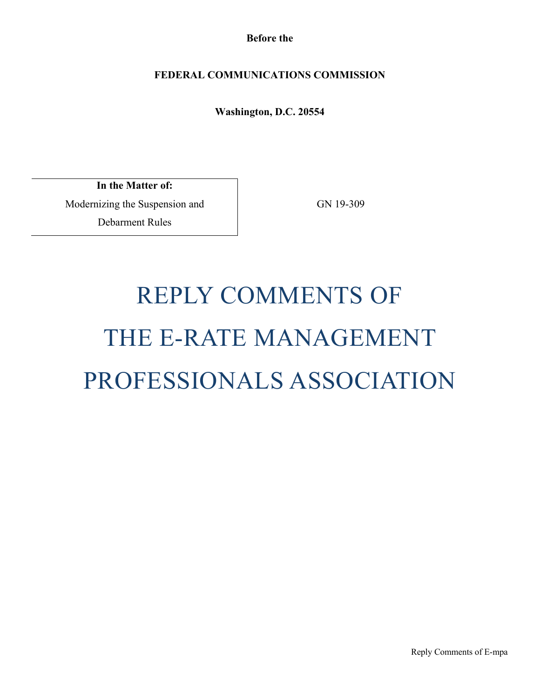**Before the**

# **FEDERAL COMMUNICATIONS COMMISSION**

**Washington, D.C. 20554**

**In the Matter of:** Modernizing the Suspension and Debarment Rules

GN 19-309

# REPLY COMMENTS OF THE E-RATE MANAGEMENT PROFESSIONALS ASSOCIATION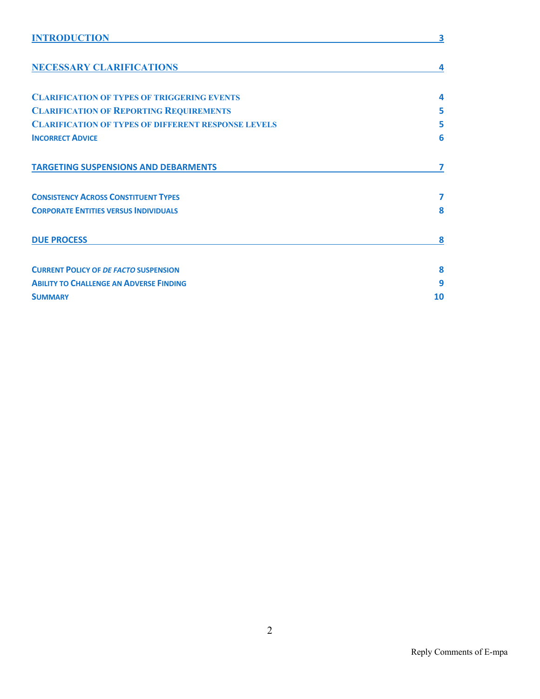| <b>INTRODUCTION</b>                                        | 3  |
|------------------------------------------------------------|----|
| <b>NECESSARY CLARIFICATIONS</b>                            | 4  |
| <b>CLARIFICATION OF TYPES OF TRIGGERING EVENTS</b>         | 4  |
| <b>CLARIFICATION OF REPORTING REQUIREMENTS</b>             | 5  |
| <b>CLARIFICATION OF TYPES OF DIFFERENT RESPONSE LEVELS</b> | 5  |
| <b>INCORRECT ADVICE</b>                                    | 6  |
| <b>TARGETING SUSPENSIONS AND DEBARMENTS</b>                | 7  |
| <b>CONSISTENCY ACROSS CONSTITUENT TYPES</b>                | 7  |
| <b>CORPORATE ENTITIES VERSUS INDIVIDUALS</b>               | 8  |
| <b>DUE PROCESS</b>                                         | 8  |
| <b>CURRENT POLICY OF DE FACTO SUSPENSION</b>               | 8  |
| <b>ABILITY TO CHALLENGE AN ADVERSE FINDING</b>             | 9  |
| <b>SUMMARY</b>                                             | 10 |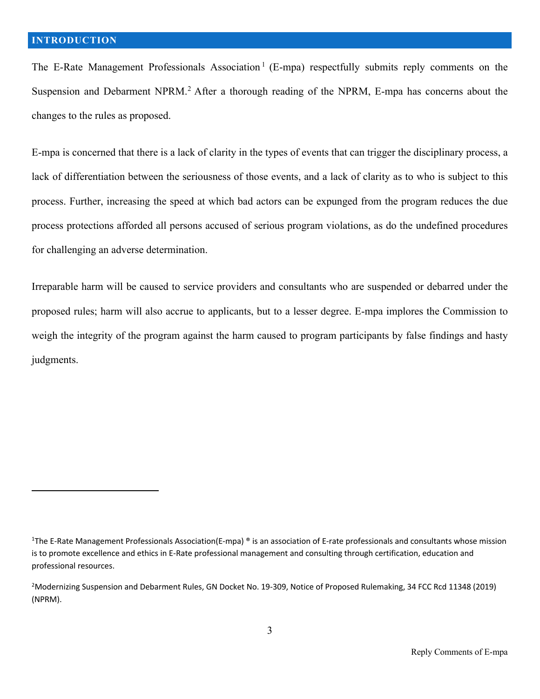The E-Rate Management Professionals Association<sup>1</sup> (E-mpa) respectfully submits reply comments on the Suspension and Debarment NPRM.<sup>2</sup> After a thorough reading of the NPRM, E-mpa has concerns about the changes to the rules as proposed.

E-mpa is concerned that there is a lack of clarity in the types of events that can trigger the disciplinary process, a lack of differentiation between the seriousness of those events, and a lack of clarity as to who is subject to this process. Further, increasing the speed at which bad actors can be expunged from the program reduces the due process protections afforded all persons accused of serious program violations, as do the undefined procedures for challenging an adverse determination.

Irreparable harm will be caused to service providers and consultants who are suspended or debarred under the proposed rules; harm will also accrue to applicants, but to a lesser degree. E-mpa implores the Commission to weigh the integrity of the program against the harm caused to program participants by false findings and hasty judgments.

<sup>&</sup>lt;sup>1</sup>The E-Rate Management Professionals Association(E-mpa) ® is an association of E-rate professionals and consultants whose mission is to promote excellence and ethics in E-Rate professional management and consulting through certification, education and professional resources.

<sup>&</sup>lt;sup>2</sup>Modernizing Suspension and Debarment Rules, GN Docket No. 19-309, Notice of Proposed Rulemaking, 34 FCC Rcd 11348 (2019) (NPRM).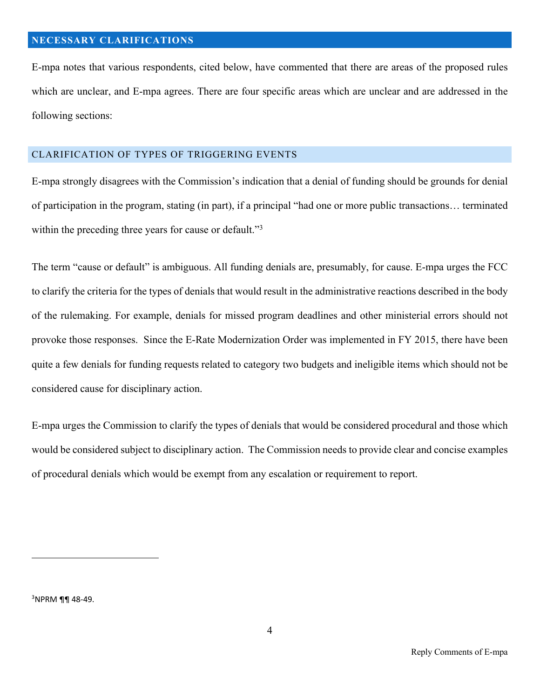E-mpa notes that various respondents, cited below, have commented that there are areas of the proposed rules which are unclear, and E-mpa agrees. There are four specific areas which are unclear and are addressed in the following sections:

#### CLARIFICATION OF TYPES OF TRIGGERING EVENTS

E-mpa strongly disagrees with the Commission's indication that a denial of funding should be grounds for denial of participation in the program, stating (in part), if a principal "had one or more public transactions… terminated within the preceding three years for cause or default."<sup>3</sup>

The term "cause or default" is ambiguous. All funding denials are, presumably, for cause. E-mpa urges the FCC to clarify the criteria for the types of denials that would result in the administrative reactions described in the body of the rulemaking. For example, denials for missed program deadlines and other ministerial errors should not provoke those responses. Since the E-Rate Modernization Order was implemented in FY 2015, there have been quite a few denials for funding requests related to category two budgets and ineligible items which should not be considered cause for disciplinary action.

E-mpa urges the Commission to clarify the types of denials that would be considered procedural and those which would be considered subject to disciplinary action. The Commission needs to provide clear and concise examples of procedural denials which would be exempt from any escalation or requirement to report.

 $3$ NPRM ¶¶ 48-49.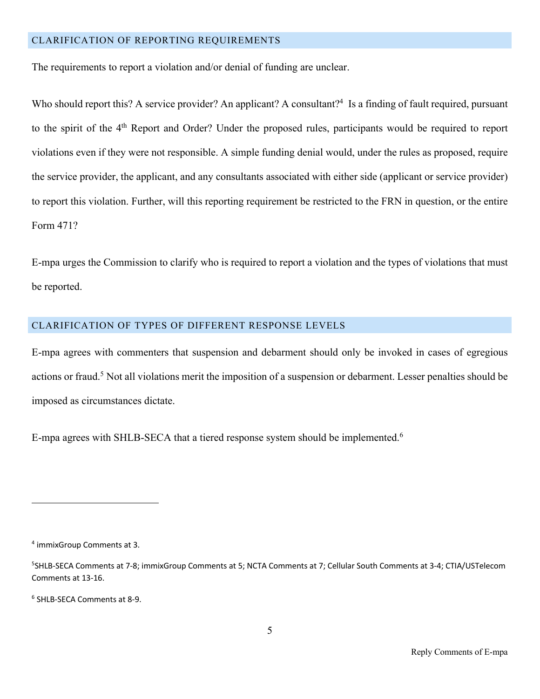#### CLARIFICATION OF REPORTING REQUIREMENTS

The requirements to report a violation and/or denial of funding are unclear.

Who should report this? A service provider? An applicant? A consultant?<sup>4</sup> Is a finding of fault required, pursuant to the spirit of the 4<sup>th</sup> Report and Order? Under the proposed rules, participants would be required to report violations even if they were not responsible. A simple funding denial would, under the rules as proposed, require the service provider, the applicant, and any consultants associated with either side (applicant or service provider) to report this violation. Further, will this reporting requirement be restricted to the FRN in question, or the entire Form 471?

E-mpa urges the Commission to clarify who is required to report a violation and the types of violations that must be reported.

#### CLARIFICATION OF TYPES OF DIFFERENT RESPONSE LEVELS

E-mpa agrees with commenters that suspension and debarment should only be invoked in cases of egregious actions or fraud.<sup>5</sup> Not all violations merit the imposition of a suspension or debarment. Lesser penalties should be imposed as circumstances dictate.

E-mpa agrees with SHLB-SECA that a tiered response system should be implemented.<sup>6</sup>

<sup>4</sup> immixGroup Comments at 3.

<sup>5</sup> SHLB-SECA Comments at 7-8; immixGroup Comments at 5; NCTA Comments at 7; Cellular South Comments at 3-4; CTIA/USTelecom Comments at 13-16.

<sup>6</sup> SHLB-SECA Comments at 8-9.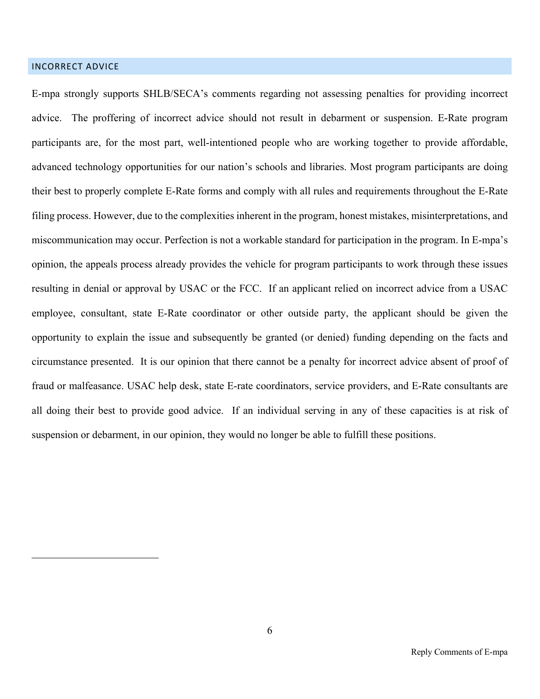## INCORRECT ADVICE

E-mpa strongly supports SHLB/SECA's comments regarding not assessing penalties for providing incorrect advice. The proffering of incorrect advice should not result in debarment or suspension. E-Rate program participants are, for the most part, well-intentioned people who are working together to provide affordable, advanced technology opportunities for our nation's schools and libraries. Most program participants are doing their best to properly complete E-Rate forms and comply with all rules and requirements throughout the E-Rate filing process. However, due to the complexities inherent in the program, honest mistakes, misinterpretations, and miscommunication may occur. Perfection is not a workable standard for participation in the program. In E-mpa's opinion, the appeals process already provides the vehicle for program participants to work through these issues resulting in denial or approval by USAC or the FCC. If an applicant relied on incorrect advice from a USAC employee, consultant, state E-Rate coordinator or other outside party, the applicant should be given the opportunity to explain the issue and subsequently be granted (or denied) funding depending on the facts and circumstance presented. It is our opinion that there cannot be a penalty for incorrect advice absent of proof of fraud or malfeasance. USAC help desk, state E-rate coordinators, service providers, and E-Rate consultants are all doing their best to provide good advice. If an individual serving in any of these capacities is at risk of suspension or debarment, in our opinion, they would no longer be able to fulfill these positions.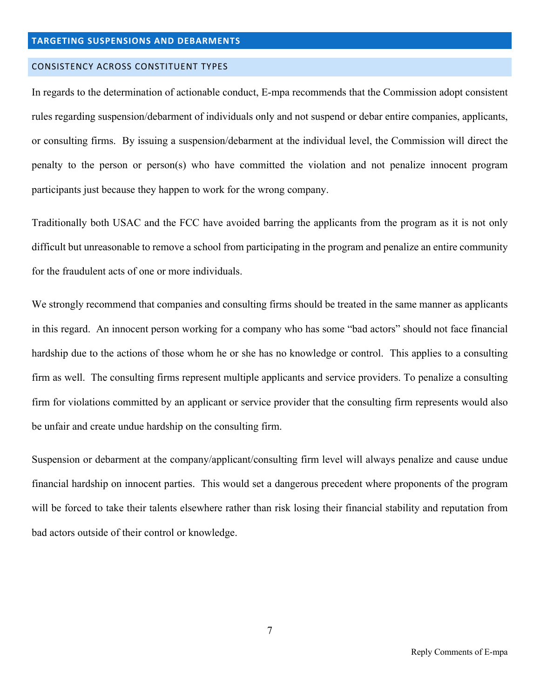#### **TARGETING SUSPENSIONS AND DEBARMENTS**

#### CONSISTENCY ACROSS CONSTITUENT TYPES

In regards to the determination of actionable conduct, E-mpa recommends that the Commission adopt consistent rules regarding suspension/debarment of individuals only and not suspend or debar entire companies, applicants, or consulting firms. By issuing a suspension/debarment at the individual level, the Commission will direct the penalty to the person or person(s) who have committed the violation and not penalize innocent program participants just because they happen to work for the wrong company.

Traditionally both USAC and the FCC have avoided barring the applicants from the program as it is not only difficult but unreasonable to remove a school from participating in the program and penalize an entire community for the fraudulent acts of one or more individuals.

We strongly recommend that companies and consulting firms should be treated in the same manner as applicants in this regard. An innocent person working for a company who has some "bad actors" should not face financial hardship due to the actions of those whom he or she has no knowledge or control. This applies to a consulting firm as well. The consulting firms represent multiple applicants and service providers. To penalize a consulting firm for violations committed by an applicant or service provider that the consulting firm represents would also be unfair and create undue hardship on the consulting firm.

Suspension or debarment at the company/applicant/consulting firm level will always penalize and cause undue financial hardship on innocent parties. This would set a dangerous precedent where proponents of the program will be forced to take their talents elsewhere rather than risk losing their financial stability and reputation from bad actors outside of their control or knowledge.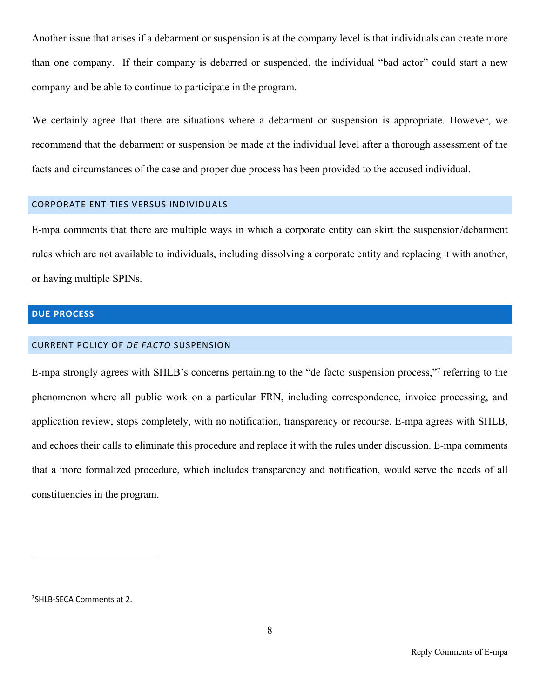Another issue that arises if a debarment or suspension is at the company level is that individuals can create more than one company. If their company is debarred or suspended, the individual "bad actor" could start a new company and be able to continue to participate in the program.

We certainly agree that there are situations where a debarment or suspension is appropriate. However, we recommend that the debarment or suspension be made at the individual level after a thorough assessment of the facts and circumstances of the case and proper due process has been provided to the accused individual.

### CORPORATE ENTITIES VERSUS INDIVIDUALS

E-mpa comments that there are multiple ways in which a corporate entity can skirt the suspension/debarment rules which are not available to individuals, including dissolving a corporate entity and replacing it with another, or having multiple SPINs.

## **DUE PROCESS**

#### CURRENT POLICY OF *DE FACTO* SUSPENSION

E-mpa strongly agrees with SHLB's concerns pertaining to the "de facto suspension process,"7 referring to the phenomenon where all public work on a particular FRN, including correspondence, invoice processing, and application review, stops completely, with no notification, transparency or recourse. E-mpa agrees with SHLB, and echoes their calls to eliminate this procedure and replace it with the rules under discussion. E-mpa comments that a more formalized procedure, which includes transparency and notification, would serve the needs of all constituencies in the program.

<sup>7</sup> SHLB-SECA Comments at 2.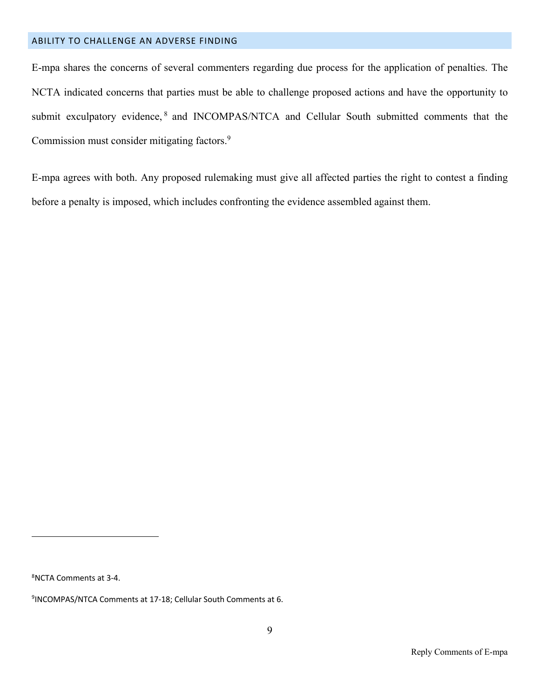#### ABILITY TO CHALLENGE AN ADVERSE FINDING

E-mpa shares the concerns of several commenters regarding due process for the application of penalties. The NCTA indicated concerns that parties must be able to challenge proposed actions and have the opportunity to submit exculpatory evidence,<sup>8</sup> and INCOMPAS/NTCA and Cellular South submitted comments that the Commission must consider mitigating factors.<sup>9</sup>

E-mpa agrees with both. Any proposed rulemaking must give all affected parties the right to contest a finding before a penalty is imposed, which includes confronting the evidence assembled against them.

8 NCTA Comments at 3-4.

<sup>9</sup> INCOMPAS/NTCA Comments at 17-18; Cellular South Comments at 6.